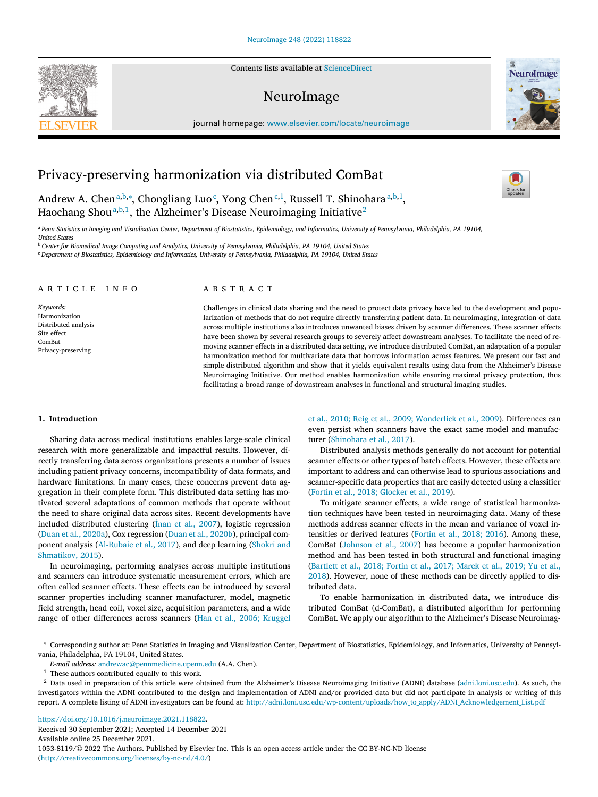Contents lists available at [ScienceDirect](http://www.ScienceDirect.com)

## NeuroImage

journal homepage: [www.elsevier.com/locate/neuroimage](http://www.elsevier.com/locate/neuroimage)

# Privacy-preserving harmonization via distributed ComBat

Andrew A. Chen<sup>a,b,∗</sup>, Chongliang Luo<sup>c</sup>, Yong Chen<sup>c,1</sup>, Russell T. Shinohara<sup>a,b,1</sup>, Haochang Shou<sup>a,b,1</sup>, the Alzheimer's Disease Neuroimaging Initiative<sup>2</sup>

a Penn Statistics in Imaging and Visualization Center. Department of Biostatistics. Epidemiology, and Informatics. University of Pennsylvania, Philadelphia, PA 19104. *United States*

<sup>b</sup> Center for Biomedical Image Computing and Analytics, University of Pennsylvania, Philadelphia, PA 19104, United States

<sup>c</sup> *Department of Biostatistics, Epidemiology and Informatics, University of Pennsylvania, Philadelphia, PA 19104, United States*

### a r t i c l e i n f o

*Keywords:* Harmonization Distributed analysis Site effect ComBat Privacy-preserving

## a b s t r a c t

Challenges in clinical data sharing and the need to protect data privacy have led to the development and popularization of methods that do not require directly transferring patient data. In neuroimaging, integration of data across multiple institutions also introduces unwanted biases driven by scanner differences. These scanner effects have been shown by several research groups to severely affect downstream analyses. To facilitate the need of removing scanner effects in a distributed data setting, we introduce distributed ComBat, an adaptation of a popular harmonization method for multivariate data that borrows information across features. We present our fast and simple distributed algorithm and show that it yields equivalent results using data from the Alzheimer's Disease Neuroimaging Initiative. Our method enables harmonization while ensuring maximal privacy protection, thus facilitating a broad range of downstream analyses in functional and structural imaging studies.

#### **1. Introduction**

Sharing data across medical institutions enables large-scale clinical research with more generalizable and impactful results. However, directly transferring data across organizations presents a number of issues including patient privacy concerns, incompatibility of data formats, and hardware limitations. In many cases, these concerns prevent data aggregation in their complete form. This distributed data setting has motivated several adaptations of common methods that operate without the need to share original data across sites. Recent developments have included distributed clustering (İnan et al., [2007\)](#page-4-0), logistic regression (Duan et al., [2020a\)](#page-3-0), Cox regression (Duan et al., [2020b\)](#page-3-0), principal component analysis [\(Al-Rubaie](#page-3-0) et al., 2017), and deep learning (Shokri and [Shmatikov,](#page-4-0) 2015).

In neuroimaging, performing analyses across multiple institutions and scanners can introduce systematic measurement errors, which are often called scanner effects. These effects can be introduced by several scanner properties including scanner manufacturer, model, magnetic field strength, head coil, voxel size, acquisition parameters, and a wide range of other differences across scanners (Han et al., 2006; [Kruggel](#page-4-0)

et al., 2010; Reig et al., 2009; [Wonderlick](#page-4-0) et al., 2009). Differences can even persist when scanners have the exact same model and manufacturer [\(Shinohara](#page-4-0) et al., 2017).

Distributed analysis methods generally do not account for potential scanner effects or other types of batch effects. However, these effects are important to address and can otherwise lead to spurious associations and scanner-specific data properties that are easily detected using a classifier (Fortin et al., 2018; [Glocker](#page-4-0) et al., 2019).

To mitigate scanner effects, a wide range of statistical harmonization techniques have been tested in neuroimaging data. Many of these methods address scanner effects in the mean and variance of voxel intensities or derived features [\(Fortin](#page-4-0) et al., 2018; 2016). Among these, ComBat [\(Johnson](#page-4-0) et al., 2007) has become a popular harmonization method and has been tested in both structural and functional imaging (Bartlett et al., 2018; Fortin et al., 2017; Marek et al., 2019; Yu et al., 2018). [However,](#page-3-0) none of these methods can be directly applied to distributed data.

To enable harmonization in distributed data, we introduce distributed ComBat (d-ComBat), a distributed algorithm for performing ComBat. We apply our algorithm to the Alzheimer's Disease Neuroimag-

[https://doi.org/10.1016/j.neuroimage.2021.118822.](https://doi.org/10.1016/j.neuroimage.2021.118822)

Received 30 September 2021; Accepted 14 December 2021 Available online 25 December 2021. 1053-8119/© 2022 The Authors. Published by Elsevier Inc. This is an open access article under the CC BY-NC-ND license [\(http://creativecommons.org/licenses/by-nc-nd/4.0/\)](http://creativecommons.org/licenses/by-nc-nd/4.0/)







<sup>∗</sup> Corresponding author at: Penn Statistics in Imaging and Visualization Center, Department of Biostatistics, Epidemiology, and Informatics, University of Pennsylvania, Philadelphia, PA 19104, United States.

*E-mail address:* [andrewac@pennmedicine.upenn.edu](mailto:andrewac@pennmedicine.upenn.edu) (A.A. Chen).

 $^{\rm 1}$  These authors contributed equally to this work.

<sup>&</sup>lt;sup>2</sup> Data used in preparation of this article were obtained from the Alzheimer's Disease Neuroimaging Initiative (ADNI) database [\(adni.loni.usc.edu\)](http://adni.loni.usc.edu). As such, the investigators within the ADNI contributed to the design and implementation of ADNI and/or provided data but did not participate in analysis or writing of this report. A complete listing of ADNI investigators can be found at: [http://adni.loni.usc.edu/wp-content/uploads/how\\_to\\_apply/ADNI\\_Acknowledgement\\_List.pdf](http://adni.loni.usc.edu/wp-content/uploads/how_to_apply/ADNI_Acknowledgement_List.pdf)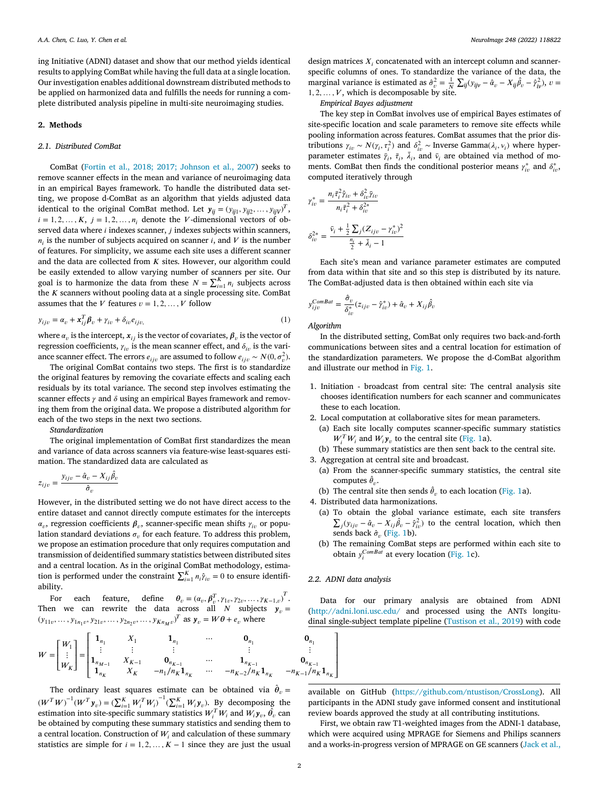ing Initiative (ADNI) dataset and show that our method yields identical results to applying ComBat while having the full data at a single location. Our investigation enables additional downstream distributed methods to be applied on harmonized data and fulfills the needs for running a complete distributed analysis pipeline in multi-site neuroimaging studies.

## **2. Methods**

## *2.1. Distributed ComBat*

ComBat (Fortin et al., 2018; 2017; [Johnson](#page-4-0) et al., 2007) seeks to remove scanner effects in the mean and variance of neuroimaging data in an empirical Bayes framework. To handle the distributed data setting, we propose d-ComBat as an algorithm that yields adjusted data identical to the original ComBat method. Let  $y_{ij} = (y_{ij1}, y_{ij2}, \dots, y_{ijV})^T$ ,  $i = 1, 2, \dots, K$ ,  $j = 1, 2, \dots, n_i$  denote the *V*-dimensional vectors of observed data where  $i$  indexes scanner,  $j$  indexes subjects within scanners,  $n_i$  is the number of subjects acquired on scanner *i*, and *V* is the number of features. For simplicity, we assume each site uses a different scanner and the data are collected from  $K$  sites. However, our algorithm could be easily extended to allow varying number of scanners per site. Our goal is to harmonize the data from these  $N = \sum_{i=1}^{K} n_i$  subjects across the  $K$  scanners without pooling data at a single processing site. ComBat assumes that the *V* features  $v = 1, 2, ..., V$  follow

$$
y_{ijv} = \alpha_v + \mathbf{x}_{ij}^T \boldsymbol{\beta}_v + \gamma_{iv} + \delta_{iv} e_{ijv},
$$
\n<sup>(1)</sup>

where  $\alpha_v$  is the intercept,  $\boldsymbol{x}_{ij}$  is the vector of covariates,  $\boldsymbol{\beta}_v$  is the vector of regression coefficients,  $\gamma_{in}$  is the mean scanner effect, and  $\delta_{in}$  is the variance scanner effect. The errors  $e_{ijv}$  are assumed to follow  $e_{ijv} \sim N(0, \sigma_v^2)$ .

The original ComBat contains two steps. The first is to standardize the original features by removing the covariate effects and scaling each residuals by its total variance. The second step involves estimating the scanner effects  $\gamma$  and  $\delta$  using an empirical Bayes framework and removing them from the original data. We propose a distributed algorithm for each of the two steps in the next two sections.

*Standardization*

The original implementation of ComBat first standardizes the mean and variance of data across scanners via feature-wise least-squares estimation. The standardized data are calculated as

$$
z_{ijv} = \frac{y_{ijv} - \hat{\alpha}_v - X_{ij}\hat{\beta}_v}{\hat{\sigma}_v}
$$

However, in the distributed setting we do not have direct access to the entire dataset and cannot directly compute estimates for the intercepts  $\alpha_v$ , regression coefficients  $\beta_v$ , scanner-specific mean shifts  $\gamma_{iv}$  or population standard deviations  $\sigma$ , for each feature. To address this problem, we propose an estimation procedure that only requires computation and transmission of deidentified summary statistics between distributed sites and a central location. As in the original ComBat methodology, estimation is performed under the constraint  $\sum_{i=1}^{K} n_i \hat{y}_{iv} = 0$  to ensure identifiability.

For each feature, define  $\theta_v = (\alpha_v, \beta_v^T, \gamma_{1v}, \gamma_{2v}, \dots, \gamma_{K-1,v})^T$ . Then we can rewrite the data across all N subjects  $y_v =$  $(y_{11v}, \ldots, y_{1n_1v}, y_{21v}, \ldots, y_{2n_2v}, \ldots, y_{Kn_Mv})^T$  as  $\mathbf{y}_v = W\theta + e_v$  where

design matrices  $X_i$  concatenated with an intercept column and scannerspecific columns of ones. To standardize the variance of the data, the marginal variance is estimated as  $\hat{\sigma}_v^2 = \frac{1}{N}$  $\sum_{ij} (y_{ijv} - \hat{\alpha}_v - X_{ij}\hat{\beta}_v - \hat{\gamma}_{iv}^2), v =$  $1, 2, \ldots, V$ , which is decomposable by site.

#### *Empirical Bayes adjustment*

The key step in ComBat involves use of empirical Bayes estimates of site-specific location and scale parameters to remove site effects while pooling information across features. ComBat assumes that the prior distributions  $\gamma_{iv} \sim N(\gamma_i, \tau_i^2)$  and  $\delta_{iv}^2 \sim \text{Inverse Gamma}(\lambda_i, \nu_i)$  where hyperparameter estimates  $\bar{\gamma}_i$ ,  $\bar{\tau}_i$ ,  $\bar{\lambda}_i$ , and  $\bar{\nu}_i$  are obtained via method of moments. ComBat then finds the conditional posterior means  $\gamma_{iv}^*$  and  $\delta_{iv}^*$ , computed iteratively through

$$
\gamma_{iv}^{*} = \frac{n_{i}\bar{\tau}_{i}^{2}\hat{\gamma}_{io} + \delta_{iv}^{2}\bar{\gamma}_{io}}{n_{i}\bar{\tau}_{i}^{2} + \delta_{iv}^{2*}}
$$

$$
\delta_{iv}^{2*} = \frac{\bar{\nu}_{i} + \frac{1}{2}\sum_{j}(Z_{ijv} - \gamma_{iv}^{*})^{2}}{\frac{n_{i}}{2} + \bar{\lambda}_{i} - 1}
$$

Each site's mean and variance parameter estimates are computed from data within that site and so this step is distributed by its nature. The ComBat-adjusted data is then obtained within each site via

$$
y_{ijv}^{ComBat} = \frac{\hat{\sigma}_v}{\delta_{iv}^*}(z_{ijv} - \hat{\gamma}_{iv}^*) + \hat{\alpha}_v + X_{ij}\hat{\beta}_v
$$

#### *Algorithm*

In the distributed setting, ComBat only requires two back-and-forth communications between sites and a central location for estimation of the standardization parameters. We propose the d-ComBat algorithm and illustrate our method in [Fig.](#page-2-0) 1.

- 1. Initiation broadcast from central site: The central analysis site chooses identification numbers for each scanner and communicates these to each location.
- 2. Local computation at collaborative sites for mean parameters. (a) Each site locally computes scanner-specific summary statistics
	- $W_i^T W_i$  and  $W_i y_v$  to the central site [\(Fig.](#page-2-0) 1a).
- (b) These summary statistics are then sent back to the central site.
- 3. Aggregation at central site and broadcast. (a) From the scanner-specific summary statistics, the central site computes  $\hat{\theta}_v$ .
	- (b) The central site then sends  $\hat{\theta}_v$  to each location [\(Fig.](#page-2-0) 1a).

4. Distributed data harmonizations.

- (a) To obtain the global variance estimate, each site transfers ∑  $j(y_{ijv} - \hat{\alpha}_v - X_{ij}\hat{\beta}_v - \hat{\gamma}_{iv}^2)$  to the central location, which then sends back  $\hat{\sigma}$ <sub>*n*</sub> [\(Fig.](#page-2-0) 1b).
- (b) The remaining ComBat steps are performed within each site to obtain  $y_i^{ComBat}$  at every location [\(Fig.](#page-2-0) 1c).

### *2.2. ADNI data analysis*

⎤  $\overline{\phantom{a}}$  $\overline{\phantom{a}}$  $\overline{\phantom{a}}$  $\overline{\phantom{a}}$  $\overline{a}$ 

Data for our primary analysis are obtained from ADNI [\(http://adni.loni.usc.edu/](http://adni.loni.usc.edu/) and processed using the ANTs longitudinal single-subject template pipeline [\(Tustison](#page-4-0) et al., 2019) with code

$$
W = \begin{bmatrix} W_1 \\ \vdots \\ W_K \end{bmatrix} = \begin{bmatrix} \mathbf{1}_{n_1} & X_1 & \mathbf{1}_{n_1} & \cdots & \mathbf{0}_{n_1} & \mathbf{0}_{n_1} \\ \vdots & \vdots & \vdots & \vdots & \vdots & \vdots \\ \mathbf{1}_{n_{M-1}} & X_{K-1} & \mathbf{0}_{n_{K-1}} & \cdots & \mathbf{1}_{n_{K-1}} & \mathbf{0}_{n_{K-1}} \\ \mathbf{1}_{n_K} & X_K & -n_1/n_K \mathbf{1}_{n_K} & \cdots & -n_{K-2}/n_K \mathbf{1}_{n_K} & -n_{K-1}/n_K \mathbf{1}_{n_K} \end{bmatrix}
$$

The ordinary least squares estimate can be obtained via  $\hat{\theta}_v =$  $(W^T W)^{-1} (W^T y_v) = (\sum_{i=1}^K W_i^T W_i)^{-1} (\sum_{i=1}^K W_i y_v)$ . By decomposing the estimation into site-specific summary statistics  $W_i^T W_i$  and  $W_i$ **y**<sub>v</sub>,  $\hat{\theta}_v$  can be obtained by computing these summary statistics and sending them to a central location. Construction of  $W_i$  and calculation of these summary statistics are simple for  $i = 1, 2, ..., K - 1$  since they are just the usual

available on GitHub [\(https://github.com/ntustison/CrossLong\)](https://github.com/ntustison/CrossLong). All participants in the ADNI study gave informed consent and institutional review boards approved the study at all contributing institutions.

First, we obtain raw T1-weighted images from the ADNI-1 database, which were acquired using MPRAGE for Siemens and Philips scanners and a works-in-progress version of MPRAGE on GE scanners [\(Jack](#page-4-0) et al.,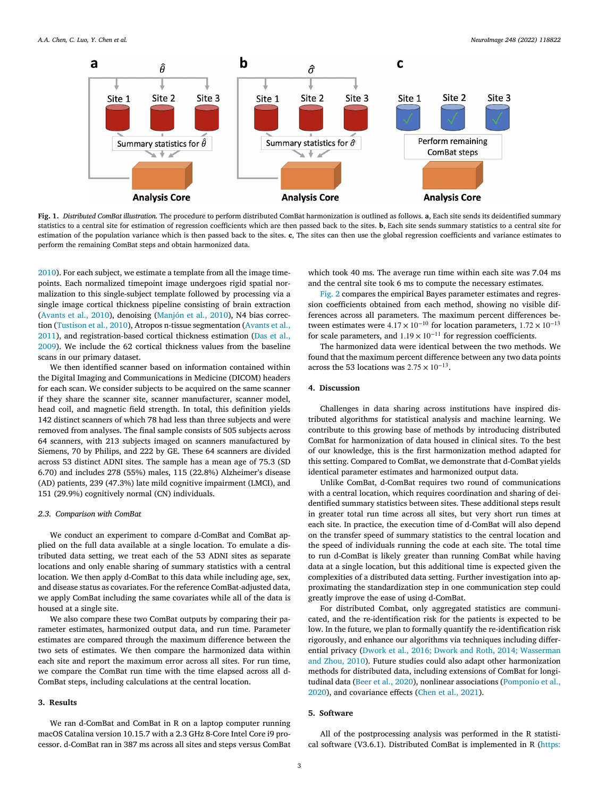<span id="page-2-0"></span>

**Fig. 1.** *Distributed ComBat illustration.* The procedure to perform distributed ComBat harmonization is outlined as follows. **a**, Each site sends its deidentified summary statistics to a central site for estimation of regression coefficients which are then passed back to the sites. **b**, Each site sends summary statistics to a central site for estimation of the population variance which is then passed back to the sites. **c**, The sites can then use the global regression coefficients and variance estimates to perform the remaining ComBat steps and obtain harmonized data.

[2010\)](#page-4-0). For each subject, we estimate a template from all the image timepoints. Each normalized timepoint image undergoes rigid spatial normalization to this single-subject template followed by processing via a single image cortical thickness pipeline consisting of brain extraction [\(Avants](#page-3-0) et al., 2010), denoising [\(Manjón](#page-4-0) et al., 2010), N4 bias correction [\(Tustison](#page-4-0) et al., 2010), Atropos n-tissue segmentation (Avants et al., 2011), and [registration-based](#page-3-0) cortical thickness estimation (Das et al., 2009). We include the 62 cortical thickness values from the baseline scans in our primary dataset.

We then identified scanner based on information contained within the Digital Imaging and Communications in Medicine (DICOM) headers for each scan. We consider subjects to be acquired on the same scanner if they share the scanner site, scanner manufacturer, scanner model, head coil, and magnetic field strength. In total, this definition yields 142 distinct scanners of which 78 had less than three subjects and were removed from analyses. The final sample consists of 505 subjects across 64 scanners, with 213 subjects imaged on scanners manufactured by Siemens, 70 by Philips, and 222 by GE. These 64 scanners are divided across 53 distinct ADNI sites. The sample has a mean age of 75.3 (SD 6.70) and includes 278 (55%) males, 115 (22.8%) Alzheimer's disease (AD) patients, 239 (47.3%) late mild cognitive impairment (LMCI), and 151 (29.9%) cognitively normal (CN) individuals.

#### *2.3. Comparison with ComBat*

We conduct an experiment to compare d-ComBat and ComBat applied on the full data available at a single location. To emulate a distributed data setting, we treat each of the 53 ADNI sites as separate locations and only enable sharing of summary statistics with a central location. We then apply d-ComBat to this data while including age, sex, and disease status as covariates. For the reference ComBat-adjusted data, we apply ComBat including the same covariates while all of the data is housed at a single site.

We also compare these two ComBat outputs by comparing their parameter estimates, harmonized output data, and run time. Parameter estimates are compared through the maximum difference between the two sets of estimates. We then compare the harmonized data within each site and report the maximum error across all sites. For run time, we compare the ComBat run time with the time elapsed across all d-ComBat steps, including calculations at the central location.

## **3. Results**

We ran d-ComBat and ComBat in R on a laptop computer running macOS Catalina version 10.15.7 with a 2.3 GHz 8-Core Intel Core i9 processor. d-ComBat ran in 387 ms across all sites and steps versus ComBat

which took 40 ms. The average run time within each site was 7.04 ms and the central site took 6 ms to compute the necessary estimates.

[Fig.](#page-3-0) 2 compares the empirical Bayes parameter estimates and regression coefficients obtained from each method, showing no visible differences across all parameters. The maximum percent differences between estimates were  $4.17 \times 10^{-10}$  for location parameters,  $1.72 \times 10^{-13}$ for scale parameters, and  $1.19 \times 10^{-11}$  for regression coefficients.

The harmonized data were identical between the two methods. We found that the maximum percent difference between any two data points across the 53 locations was  $2.75 \times 10^{-13}$ .

## **4. Discussion**

Challenges in data sharing across institutions have inspired distributed algorithms for statistical analysis and machine learning. We contribute to this growing base of methods by introducing distributed ComBat for harmonization of data housed in clinical sites. To the best of our knowledge, this is the first harmonization method adapted for this setting. Compared to ComBat, we demonstrate that d-ComBat yields identical parameter estimates and harmonized output data.

Unlike ComBat, d-ComBat requires two round of communications with a central location, which requires coordination and sharing of deidentified summary statistics between sites. These additional steps result in greater total run time across all sites, but very short run times at each site. In practice, the execution time of d-ComBat will also depend on the transfer speed of summary statistics to the central location and the speed of individuals running the code at each site. The total time to run d-ComBat is likely greater than running ComBat while having data at a single location, but this additional time is expected given the complexities of a distributed data setting. Further investigation into approximating the standardization step in one communication step could greatly improve the ease of using d-ComBat.

For distributed Combat, only aggregated statistics are communicated, and the re-identification risk for the patients is expected to be low. In the future, we plan to formally quantify the re-identification risk rigorously, and enhance our algorithms via techniques including differential privacy (Dwork et al., 2016; Dwork and Roth, 2014; Wasserman and Zhou, 2010). Future studies could also adapt other [harmonization](#page-3-0) methods for distributed data, including extensions of ComBat for longitudinal data (Beer et al., [2020\)](#page-3-0), nonlinear [associations](#page-4-0) (Pomponio et al., 2020), and covariance effects [\(Chen](#page-3-0) et al., 2021).

## **5. Software**

All of the postprocessing analysis was performed in the R statistical software (V3.6.1). Distributed ComBat is implemented in R [\(https:](https://github.com/andy1764/Distributed-ComBat)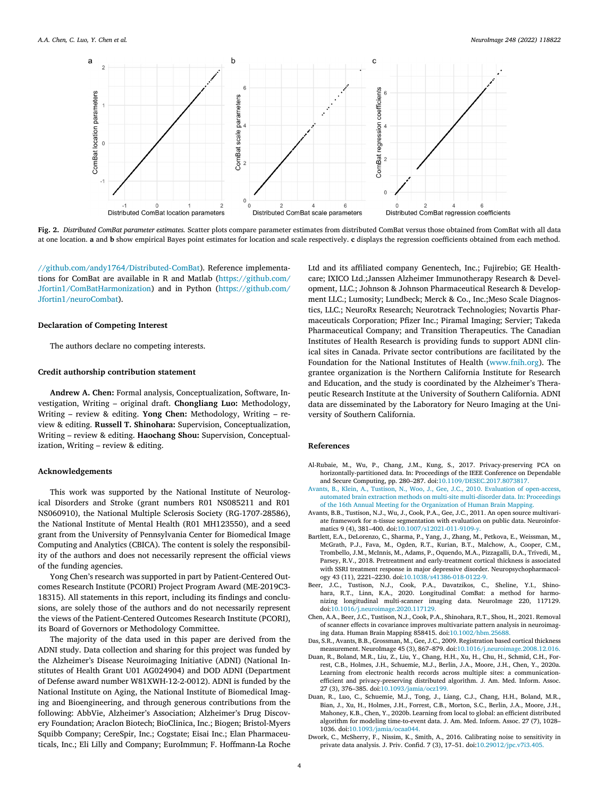<span id="page-3-0"></span>

**Fig. 2.** *Distributed ComBat parameter estimates.* Scatter plots compare parameter estimates from distributed ComBat versus those obtained from ComBat with all data at one location. **a** and **b** show empirical Bayes point estimates for location and scale respectively. **c** displays the regression coefficients obtained from each method.

[//github.com/andy1764/Distributed-ComBat\)](https://github.com/andy1764/Distributed-ComBat). Reference implementations for ComBat are available in R and Matlab (https://github.com/ [Jfortin1/ComBatHarmonization\)](https://github.com/Jfortin1/ComBatHarmonization) and in Python (https://github.com/ Jfortin1/neuroCombat).

#### **Declaration of Competing Interest**

The authors declare no competing interests.

## **Credit authorship contribution statement**

**Andrew A. Chen:** Formal analysis, Conceptualization, Software, Investigation, Writing – original draft. **Chongliang Luo:** Methodology, Writing – review & editing. **Yong Chen:** Methodology, Writing – review & editing. **Russell T. Shinohara:** Supervision, Conceptualization, Writing – review & editing. **Haochang Shou:** Supervision, Conceptualization, Writing – review & editing.

#### **Acknowledgements**

This work was supported by the National Institute of Neurological Disorders and Stroke (grant numbers R01 NS085211 and R01 NS060910), the National Multiple Sclerosis Society (RG-1707-28586), the National Institute of Mental Health (R01 MH123550), and a seed grant from the University of Pennsylvania Center for Biomedical Image Computing and Analytics (CBICA). The content is solely the responsibility of the authors and does not necessarily represent the official views of the funding agencies.

Yong Chen's research was supported in part by Patient-Centered Outcomes Research Institute (PCORI) Project Program Award (ME-2019C3- 18315). All statements in this report, including its findings and conclusions, are solely those of the authors and do not necessarily represent the views of the Patient-Centered Outcomes Research Institute (PCORI), its Board of Governors or Methodology Committee.

The majority of the data used in this paper are derived from the ADNI study. Data collection and sharing for this project was funded by the Alzheimer's Disease Neuroimaging Initiative (ADNI) (National Institutes of Health Grant U01 AG024904) and DOD ADNI (Department of Defense award number W81XWH-12-2-0012). ADNI is funded by the National Institute on Aging, the National Institute of Biomedical Imaging and Bioengineering, and through generous contributions from the following: AbbVie, Alzheimer's Association; Alzheimer's Drug Discovery Foundation; Araclon Biotech; BioClinica, Inc.; Biogen; Bristol-Myers Squibb Company; CereSpir, Inc.; Cogstate; Eisai Inc.; Elan Pharmaceuticals, Inc.; Eli Lilly and Company; EuroImmun; F. Hoffmann-La Roche Ltd and its affiliated company Genentech, Inc.; Fujirebio; GE Healthcare; IXICO Ltd.;Janssen Alzheimer Immunotherapy Research & Development, LLC.; Johnson & Johnson Pharmaceutical Research & Development LLC.; Lumosity; Lundbeck; Merck & Co., Inc.;Meso Scale Diagnostics, LLC.; NeuroRx Research; Neurotrack Technologies; Novartis Pharmaceuticals Corporation; Pfizer Inc.; Piramal Imaging; Servier; Takeda Pharmaceutical Company; and Transition Therapeutics. The Canadian Institutes of Health Research is providing funds to support ADNI clinical sites in Canada. Private sector contributions are facilitated by the Foundation for the National Institutes of Health [\(www.fnih.org\)](https://www.fnih.org). The grantee organization is the Northern California Institute for Research and Education, and the study is coordinated by the Alzheimer's Therapeutic Research Institute at the University of Southern California. ADNI data are disseminated by the Laboratory for Neuro Imaging at the University of Southern California.

#### **References**

- Al-Rubaie, M., Wu, P., Chang, J.M., Kung, S., 2017. Privacy-preserving PCA on horizontally-partitioned data. In: Proceedings of the IEEE Conference on Dependable and Secure Computing, pp. 280–287. doi[:10.1109/DESEC.2017.8073817.](https://doi.org/10.1109/DESEC.2017.8073817)
- [Avants,](http://refhub.elsevier.com/S1053-8119(21)01093-4/sbref0002) B., [Klein,](http://refhub.elsevier.com/S1053-8119(21)01093-4/sbref0002) A., [Tustison,](http://refhub.elsevier.com/S1053-8119(21)01093-4/sbref0002) N., [Woo,](http://refhub.elsevier.com/S1053-8119(21)01093-4/sbref0002) J., [Gee,](http://refhub.elsevier.com/S1053-8119(21)01093-4/sbref0002) J.C., 2010. Evaluation of open-access, automated brain extraction methods on multi-site [multi-disorder](http://refhub.elsevier.com/S1053-8119(21)01093-4/sbref0002) data. In: Proceedings of the 16th Annual Meeting for the Organization of Human Brain Mapping.
- Avants, B.B., Tustison, N.J., Wu, J., Cook, P.A., Gee, J.C., 2011. An open source multivariate framework for n-tissue segmentation with evaluation on public data. Neuroinformatics 9 (4), 381–400. doi[:10.1007/s12021-011-9109-y.](https://doi.org/10.1007/s12021-011-9109-y)
- Bartlett, E.A., DeLorenzo, C., Sharma, P., Yang, J., Zhang, M., Petkova, E., Weissman, M., McGrath, P.J., Fava, M., Ogden, R.T., Kurian, B.T., Malchow, A., Cooper, C.M., Trombello, J.M., McInnis, M., Adams, P., Oquendo, M.A., Pizzagalli, D.A., Trivedi, M., Parsey, R.V., 2018. Pretreatment and early-treatment cortical thickness is associated with SSRI treatment response in major depressive disorder. Neuropsychopharmacology 43 (11), 2221–2230. doi[:10.1038/s41386-018-0122-9.](https://doi.org/10.1038/s41386-018-0122-9)
- J.C., Tustison, N.J., Cook, P.A., Davatzikos, C., Sheline, Y.I., Shinohara, R.T., Linn, K.A., 2020. Longitudinal ComBat: a method for harmonizing longitudinal multi-scanner imaging data. NeuroImage 220, 117129. doi[:10.1016/j.neuroimage.2020.117129.](https://doi.org/10.1016/j.neuroimage.2020.117129)
- Chen, A.A., Beer, J.C., Tustison, N.J., Cook, P.A., Shinohara, R.T., Shou, H., 2021. Removal of scanner effects in covariance improves multivariate pattern analysis in neuroimaging data. Human Brain Mapping 858415. doi[:10.1002/hbm.25688.](https://doi.org/10.1002/hbm.25688)
- Das, S.R., Avants, B.B., Grossman, M., Gee, J.C., 2009. Registration based cortical thickness measurement. NeuroImage 45 (3), 867–879. doi[:10.1016/j.neuroimage.2008.12.016.](https://doi.org/10.1016/j.neuroimage.2008.12.016)
- Duan, R., Boland, M.R., Liu, Z., Liu, Y., Chang, H.H., Xu, H., Chu, H., Schmid, C.H., Forrest, C.B., Holmes, J.H., Schuemie, M.J., Berlin, J.A., Moore, J.H., Chen, Y., 2020a. Learning from electronic health records across multiple sites: a communicationefficient and privacy-preserving distributed algorithm. J. Am. Med. Inform. Assoc. 27 (3), 376–385. doi[:10.1093/jamia/ocz199.](https://doi.org/10.1093/jamia/ocz199)
- Duan, R., Luo, C., Schuemie, M.J., Tong, J., Liang, C.J., Chang, H.H., Boland, M.R., Bian, J., Xu, H., Holmes, J.H., Forrest, C.B., Morton, S.C., Berlin, J.A., Moore, J.H., Mahoney, K.B., Chen, Y., 2020b. Learning from local to global: an efficient distributed algorithm for modeling time-to-event data. J. Am. Med. Inform. Assoc. 27 (7), 1028– 1036. doi[:10.1093/jamia/ocaa044.](https://doi.org/10.1093/jamia/ocaa044)
- Dwork, C., McSherry, F., Nissim, K., Smith, A., 2016. Calibrating noise to sensitivity in private data analysis. J. Priv. Confid. 7 (3), 17–51. doi[:10.29012/jpc.v7i3.405.](https://doi.org/10.29012/jpc.v7i3.405)